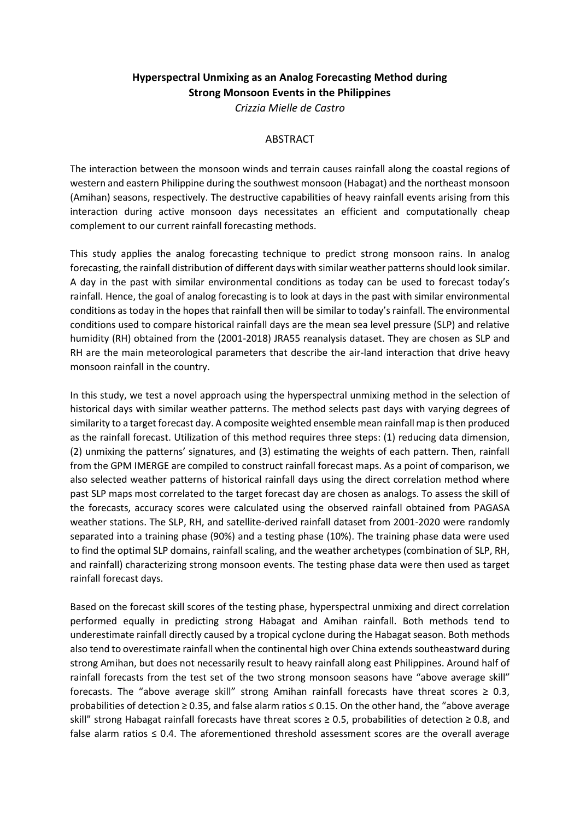## **Hyperspectral Unmixing as an Analog Forecasting Method during Strong Monsoon Events in the Philippines**

*Crizzia Mielle de Castro*

## ABSTRACT

The interaction between the monsoon winds and terrain causes rainfall along the coastal regions of western and eastern Philippine during the southwest monsoon (Habagat) and the northeast monsoon (Amihan) seasons, respectively. The destructive capabilities of heavy rainfall events arising from this interaction during active monsoon days necessitates an efficient and computationally cheap complement to our current rainfall forecasting methods.

This study applies the analog forecasting technique to predict strong monsoon rains. In analog forecasting, the rainfall distribution of different days with similar weather patterns should look similar. A day in the past with similar environmental conditions as today can be used to forecast today's rainfall. Hence, the goal of analog forecasting is to look at days in the past with similar environmental conditions as today in the hopes that rainfall then will be similar to today's rainfall. The environmental conditions used to compare historical rainfall days are the mean sea level pressure (SLP) and relative humidity (RH) obtained from the (2001-2018) JRA55 reanalysis dataset. They are chosen as SLP and RH are the main meteorological parameters that describe the air-land interaction that drive heavy monsoon rainfall in the country.

In this study, we test a novel approach using the hyperspectral unmixing method in the selection of historical days with similar weather patterns. The method selects past days with varying degrees of similarity to a target forecast day. A composite weighted ensemble mean rainfall map is then produced as the rainfall forecast. Utilization of this method requires three steps: (1) reducing data dimension, (2) unmixing the patterns' signatures, and (3) estimating the weights of each pattern. Then, rainfall from the GPM IMERGE are compiled to construct rainfall forecast maps. As a point of comparison, we also selected weather patterns of historical rainfall days using the direct correlation method where past SLP maps most correlated to the target forecast day are chosen as analogs. To assess the skill of the forecasts, accuracy scores were calculated using the observed rainfall obtained from PAGASA weather stations. The SLP, RH, and satellite-derived rainfall dataset from 2001-2020 were randomly separated into a training phase (90%) and a testing phase (10%). The training phase data were used to find the optimal SLP domains, rainfall scaling, and the weather archetypes (combination of SLP, RH, and rainfall) characterizing strong monsoon events. The testing phase data were then used as target rainfall forecast days.

Based on the forecast skill scores of the testing phase, hyperspectral unmixing and direct correlation performed equally in predicting strong Habagat and Amihan rainfall. Both methods tend to underestimate rainfall directly caused by a tropical cyclone during the Habagat season. Both methods also tend to overestimate rainfall when the continental high over China extends southeastward during strong Amihan, but does not necessarily result to heavy rainfall along east Philippines. Around half of rainfall forecasts from the test set of the two strong monsoon seasons have "above average skill" forecasts. The "above average skill" strong Amihan rainfall forecasts have threat scores  $\geq 0.3$ , probabilities of detection ≥ 0.35, and false alarm ratios ≤ 0.15. On the other hand, the "above average skill" strong Habagat rainfall forecasts have threat scores ≥ 0.5, probabilities of detection ≥ 0.8, and false alarm ratios  $\leq 0.4$ . The aforementioned threshold assessment scores are the overall average